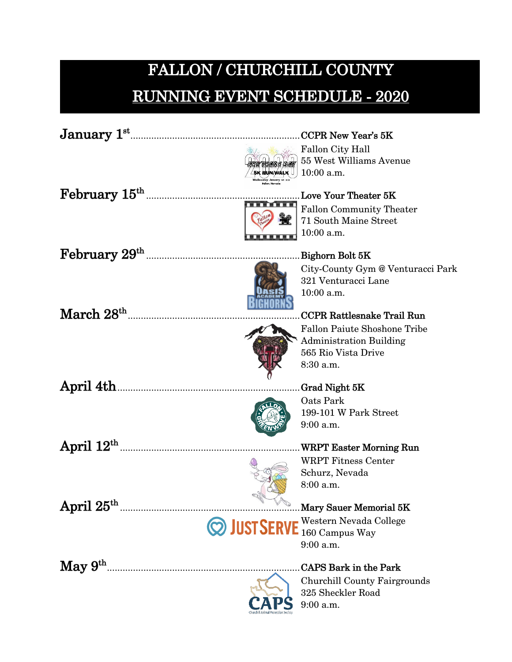## **FALLON / CHURCHILL COUNTY RUNNING EVENT SCHEDULE - 2020**

|                              | <b>CCPR New Year's 5K</b>                |  |
|------------------------------|------------------------------------------|--|
|                              | Fallon City Hall                         |  |
|                              | 55 West Williams Avenue                  |  |
|                              | 10:00 a.m.<br>5K HUN/WALK                |  |
| ${\rm February~15^{th}}$     | <b>Love Your Theater 5K</b>              |  |
|                              | <b>Fallon Community Theater</b>          |  |
|                              | 71 South Maine Street                    |  |
|                              | 10:00 a.m.                               |  |
| ${\rm February}~29^{\rm th}$ | Bighorn Bolt 5K                          |  |
|                              | City-County Gym @ Venturacci Park        |  |
|                              | 321 Venturacci Lane                      |  |
|                              | 10:00 a.m.                               |  |
|                              |                                          |  |
| $\rm March~28^{th}$          | <b>CCPR Rattlesnake Trail Run</b>        |  |
|                              | <b>Fallon Paiute Shoshone Tribe</b>      |  |
|                              | <b>Administration Building</b>           |  |
|                              | 565 Rio Vista Drive                      |  |
|                              | 8:30 a.m.                                |  |
| April 4th.                   | Grad Night 5K                            |  |
|                              | Oats Park                                |  |
|                              | 199-101 W Park Street                    |  |
|                              | 9:00 a.m.                                |  |
| April $12^{\rm th}$ .        | <b>WRPT Easter Morning Run</b>           |  |
|                              | <b>WRPT Fitness Center</b>               |  |
|                              | Schurz, Nevada                           |  |
|                              | 8:00 a.m.                                |  |
|                              |                                          |  |
| April $25^{\rm th}$          | Mary Sauer Memorial 5K                   |  |
|                              | <b>SUST SERVE</b> Western Nevada College |  |
|                              | 160 Campus Way                           |  |
|                              | 9:00 a.m.                                |  |
| $\rm{May}~9^{\rm{th}}$       | <b>CAPS Bark in the Park</b>             |  |
|                              | <b>Churchill County Fairgrounds</b>      |  |
|                              | 325 Sheckler Road                        |  |

9:00 a.m.

Pς